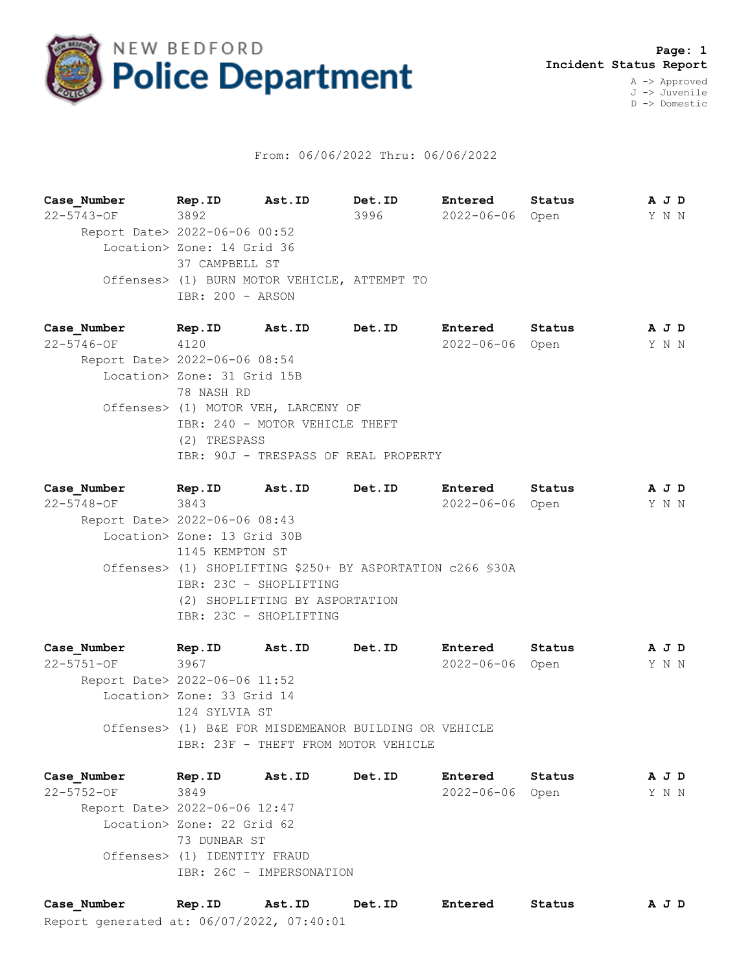

## From: 06/06/2022 Thru: 06/06/2022

**Case\_Number Rep.ID Ast.ID Det.ID Entered Status A J D** 22-5743-OF 3892 3996 2022-06-06 Open Y N N Report Date> 2022-06-06 00:52 Location> Zone: 14 Grid 36 37 CAMPBELL ST Offenses> (1) BURN MOTOR VEHICLE, ATTEMPT TO IBR: 200 - ARSON

**Case\_Number Rep.ID Ast.ID Det.ID Entered Status A J D** 22-5746-OF 4120 2022-06-06 Open Y N N Report Date> 2022-06-06 08:54 Location> Zone: 31 Grid 15B 78 NASH RD Offenses> (1) MOTOR VEH, LARCENY OF IBR: 240 - MOTOR VEHICLE THEFT (2) TRESPASS IBR: 90J - TRESPASS OF REAL PROPERTY

**Case\_Number Rep.ID Ast.ID Det.ID Entered Status A J D** 22-5748-OF 3843 2022-06-06 Open Y N N Report Date> 2022-06-06 08:43 Location> Zone: 13 Grid 30B 1145 KEMPTON ST Offenses> (1) SHOPLIFTING \$250+ BY ASPORTATION c266 §30A IBR: 23C - SHOPLIFTING (2) SHOPLIFTING BY ASPORTATION IBR: 23C - SHOPLIFTING

**Case\_Number Rep.ID Ast.ID Det.ID Entered Status A J D** 22-5751-OF 3967 2022-06-06 Open Y N N Report Date> 2022-06-06 11:52 Location> Zone: 33 Grid 14 124 SYLVIA ST Offenses> (1) B&E FOR MISDEMEANOR BUILDING OR VEHICLE IBR: 23F - THEFT FROM MOTOR VEHICLE

**Case\_Number Rep.ID Ast.ID Det.ID Entered Status A J D** 22-5752-OF 3849 2022-06-06 Open Y N N Report Date> 2022-06-06 12:47 Location> Zone: 22 Grid 62 73 DUNBAR ST Offenses> (1) IDENTITY FRAUD IBR: 26C - IMPERSONATION

Report generated at: 06/07/2022, 07:40:01 **Case\_Number Rep.ID Ast.ID Det.ID Entered Status A J D**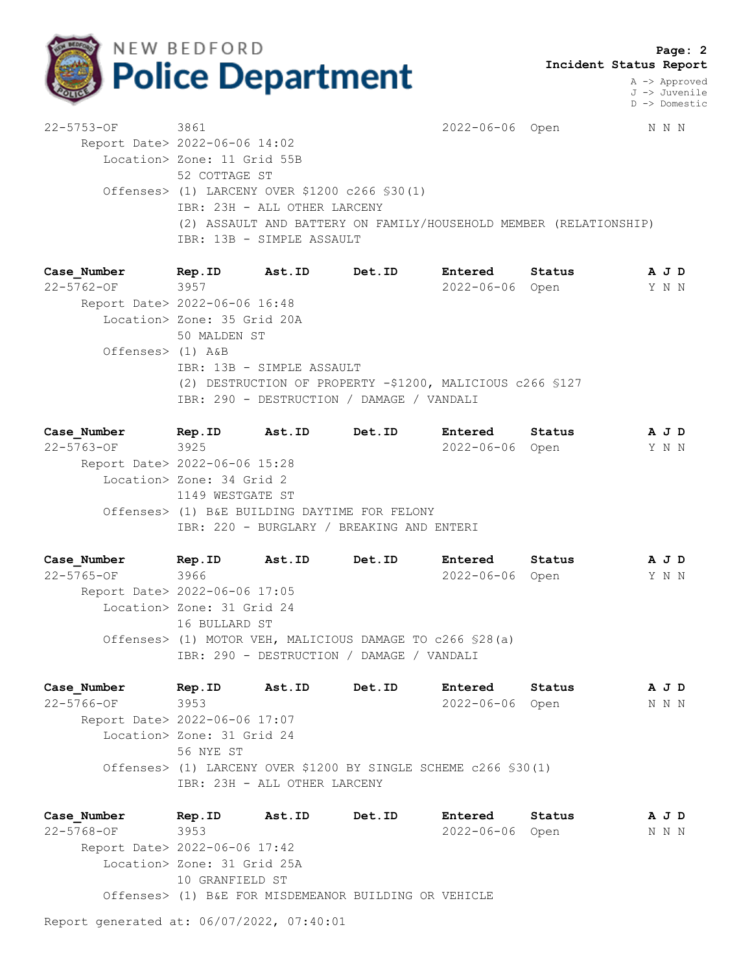

A -> Approved J -> Juvenile D -> Domestic

22-5753-OF 3861 2022-06-06 Open N N N Report Date> 2022-06-06 14:02 Location> Zone: 11 Grid 55B 52 COTTAGE ST Offenses> (1) LARCENY OVER \$1200 c266 §30(1) IBR: 23H - ALL OTHER LARCENY (2) ASSAULT AND BATTERY ON FAMILY/HOUSEHOLD MEMBER (RELATIONSHIP) IBR: 13B - SIMPLE ASSAULT

**Case\_Number Rep.ID Ast.ID Det.ID Entered Status A J D** 22-5762-OF 3957 2022-06-06 Open Y N N Report Date> 2022-06-06 16:48 Location> Zone: 35 Grid 20A 50 MALDEN ST Offenses> (1) A&B IBR: 13B - SIMPLE ASSAULT (2) DESTRUCTION OF PROPERTY -\$1200, MALICIOUS c266 §127 IBR: 290 - DESTRUCTION / DAMAGE / VANDALI

**Case\_Number Rep.ID Ast.ID Det.ID Entered Status A J D** 22-5763-OF 3925 2022-06-06 Open Y N N Report Date> 2022-06-06 15:28 Location> Zone: 34 Grid 2 1149 WESTGATE ST Offenses> (1) B&E BUILDING DAYTIME FOR FELONY IBR: 220 - BURGLARY / BREAKING AND ENTERI

**Case\_Number Rep.ID Ast.ID Det.ID Entered Status A J D** 22-5765-OF 3966 2022-06-06 Open Y N N Report Date> 2022-06-06 17:05 Location> Zone: 31 Grid 24 16 BULLARD ST Offenses> (1) MOTOR VEH, MALICIOUS DAMAGE TO c266 §28(a) IBR: 290 - DESTRUCTION / DAMAGE / VANDALI

**Case\_Number Rep.ID Ast.ID Det.ID Entered Status A J D** 22-5766-OF 3953 2022-06-06 Open N N N Report Date> 2022-06-06 17:07 Location> Zone: 31 Grid 24 56 NYE ST Offenses> (1) LARCENY OVER \$1200 BY SINGLE SCHEME c266 §30(1) IBR: 23H - ALL OTHER LARCENY

**Case\_Number Rep.ID Ast.ID Det.ID Entered Status A J D** 22-5768-OF 3953 2022-06-06 Open N N N Report Date> 2022-06-06 17:42 Location> Zone: 31 Grid 25A 10 GRANFIELD ST Offenses> (1) B&E FOR MISDEMEANOR BUILDING OR VEHICLE

Report generated at: 06/07/2022, 07:40:01